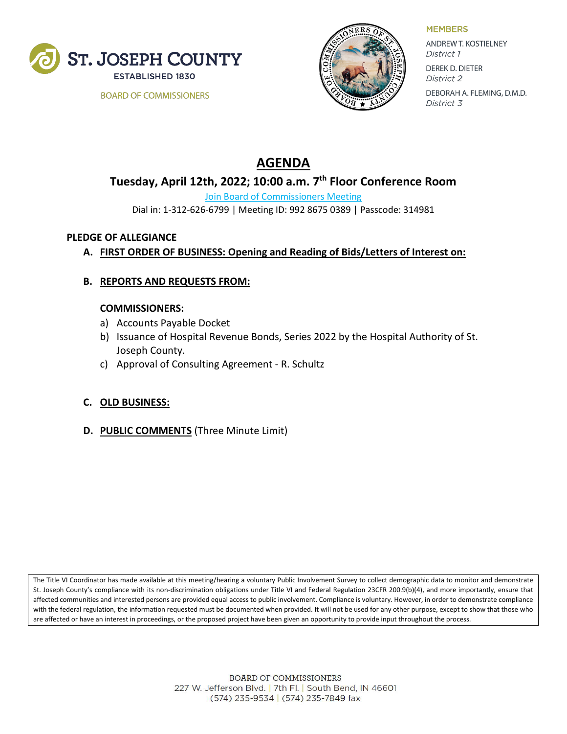

**BOARD OF COMMISSIONERS** 



**MEMBERS** 

ANDREW T. KOSTIELNEY District 1 **DEREK D. DIETER** District 2 DEBORAH A. FLEMING, D.M.D. District 3

# **AGENDA**

# **Tuesday, April 12th, 2022; 10:00 a.m. 7th Floor Conference Room**

[Join Board of Commissioners Meeting](https://zoom.us/j/99286750389?pwd=Rk9JMEZINmFudDJGSE9lUHJxZ1MyQT09)

Dial in: 1-312-626-6799 | Meeting ID: 992 8675 0389 | Passcode: 314981

#### **PLEDGE OF ALLEGIANCE**

# **A. FIRST ORDER OF BUSINESS: Opening and Reading of Bids/Letters of Interest on:**

#### **B. REPORTS AND REQUESTS FROM:**

#### **COMMISSIONERS:**

- a) Accounts Payable Docket
- b) Issuance of Hospital Revenue Bonds, Series 2022 by the Hospital Authority of St. Joseph County.
- c) Approval of Consulting Agreement R. Schultz

### **C. OLD BUSINESS:**

**D. PUBLIC COMMENTS** (Three Minute Limit)

The Title VI Coordinator has made available at this meeting/hearing a voluntary Public Involvement Survey to collect demographic data to monitor and demonstrate St. Joseph County's compliance with its non-discrimination obligations under Title VI and Federal Regulation 23CFR 200.9(b)(4), and more importantly, ensure that affected communities and interested persons are provided equal access to public involvement. Compliance is voluntary. However, in order to demonstrate compliance with the federal regulation, the information requested must be documented when provided. It will not be used for any other purpose, except to show that those who are affected or have an interest in proceedings, or the proposed project have been given an opportunity to provide input throughout the process.